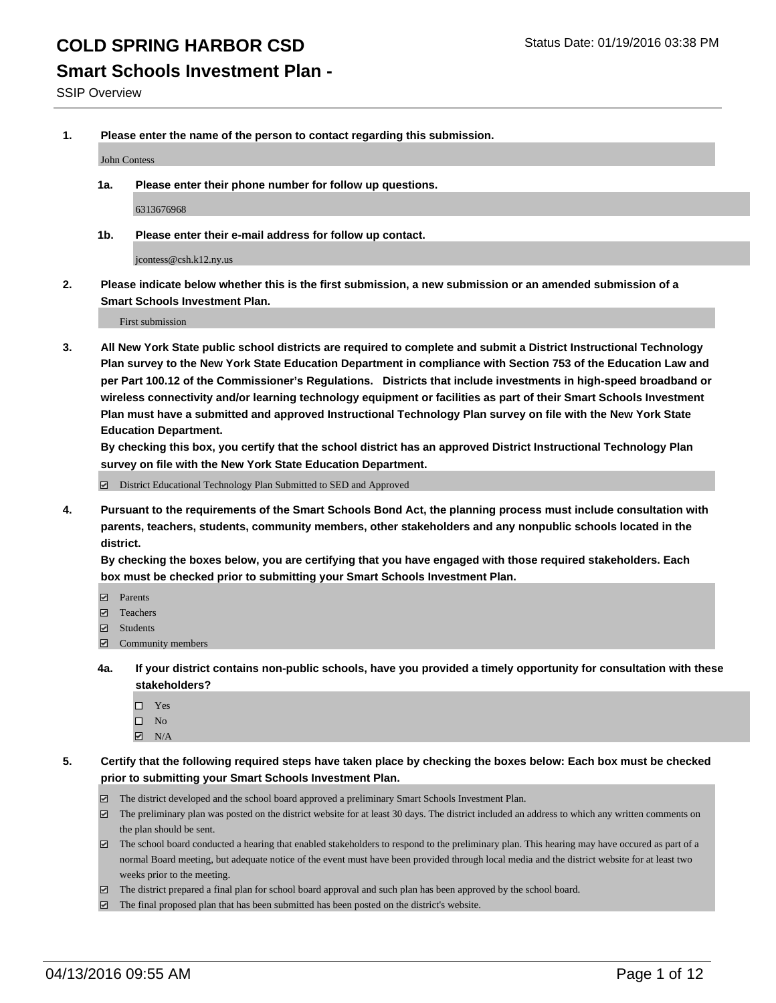### **Smart Schools Investment Plan -**

SSIP Overview

**1. Please enter the name of the person to contact regarding this submission.**

John Contess

**1a. Please enter their phone number for follow up questions.**

6313676968

**1b. Please enter their e-mail address for follow up contact.**

jcontess@csh.k12.ny.us

**2. Please indicate below whether this is the first submission, a new submission or an amended submission of a Smart Schools Investment Plan.**

First submission

**3. All New York State public school districts are required to complete and submit a District Instructional Technology Plan survey to the New York State Education Department in compliance with Section 753 of the Education Law and per Part 100.12 of the Commissioner's Regulations. Districts that include investments in high-speed broadband or wireless connectivity and/or learning technology equipment or facilities as part of their Smart Schools Investment Plan must have a submitted and approved Instructional Technology Plan survey on file with the New York State Education Department.** 

**By checking this box, you certify that the school district has an approved District Instructional Technology Plan survey on file with the New York State Education Department.**

■ District Educational Technology Plan Submitted to SED and Approved

**4. Pursuant to the requirements of the Smart Schools Bond Act, the planning process must include consultation with parents, teachers, students, community members, other stakeholders and any nonpublic schools located in the district.** 

**By checking the boxes below, you are certifying that you have engaged with those required stakeholders. Each box must be checked prior to submitting your Smart Schools Investment Plan.**

- **Parents**
- □ Teachers
- Students
- $\boxdot$  Community members
- **4a. If your district contains non-public schools, have you provided a timely opportunity for consultation with these stakeholders?**
	- □ Yes
	- $\square$  No
	- $\boxtimes$  N/A
- **5. Certify that the following required steps have taken place by checking the boxes below: Each box must be checked prior to submitting your Smart Schools Investment Plan.**
	- The district developed and the school board approved a preliminary Smart Schools Investment Plan.
	- The preliminary plan was posted on the district website for at least 30 days. The district included an address to which any written comments on the plan should be sent.
	- $\Box$  The school board conducted a hearing that enabled stakeholders to respond to the preliminary plan. This hearing may have occured as part of a normal Board meeting, but adequate notice of the event must have been provided through local media and the district website for at least two weeks prior to the meeting.
	- The district prepared a final plan for school board approval and such plan has been approved by the school board.
	- The final proposed plan that has been submitted has been posted on the district's website.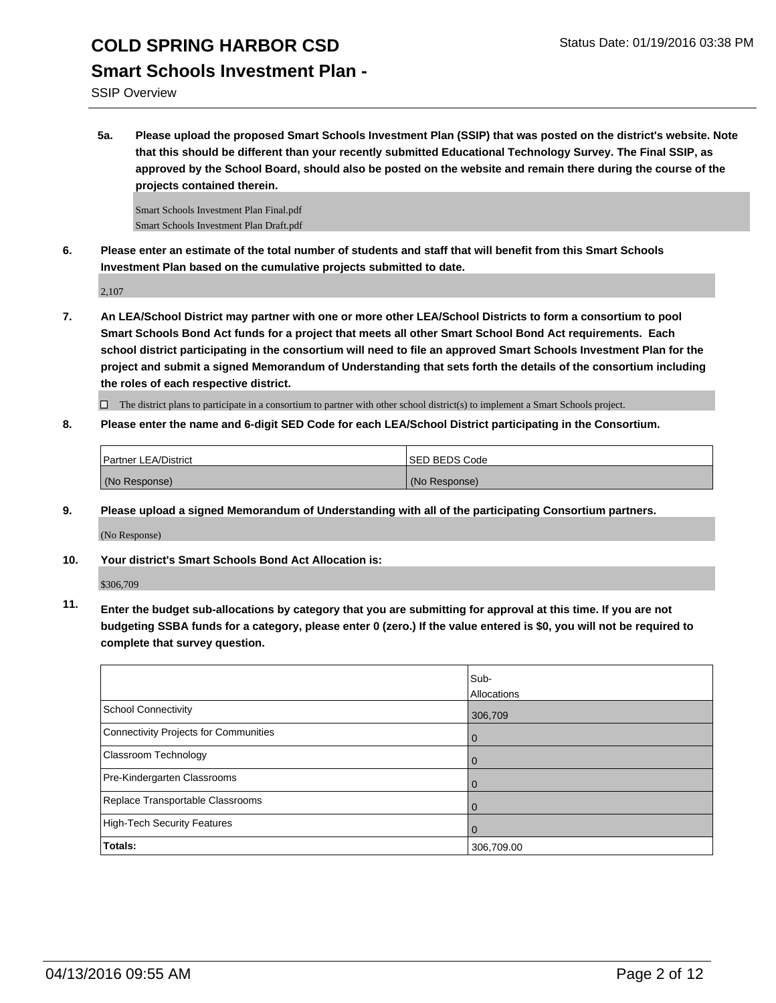SSIP Overview

**5a. Please upload the proposed Smart Schools Investment Plan (SSIP) that was posted on the district's website. Note that this should be different than your recently submitted Educational Technology Survey. The Final SSIP, as approved by the School Board, should also be posted on the website and remain there during the course of the projects contained therein.**

Smart Schools Investment Plan Final.pdf Smart Schools Investment Plan Draft.pdf

**6. Please enter an estimate of the total number of students and staff that will benefit from this Smart Schools Investment Plan based on the cumulative projects submitted to date.**

2,107

**7. An LEA/School District may partner with one or more other LEA/School Districts to form a consortium to pool Smart Schools Bond Act funds for a project that meets all other Smart School Bond Act requirements. Each school district participating in the consortium will need to file an approved Smart Schools Investment Plan for the project and submit a signed Memorandum of Understanding that sets forth the details of the consortium including the roles of each respective district.**

 $\Box$  The district plans to participate in a consortium to partner with other school district(s) to implement a Smart Schools project.

**8. Please enter the name and 6-digit SED Code for each LEA/School District participating in the Consortium.**

| <b>Partner LEA/District</b> | <b>ISED BEDS Code</b> |
|-----------------------------|-----------------------|
| (No Response)               | (No Response)         |

**9. Please upload a signed Memorandum of Understanding with all of the participating Consortium partners.**

(No Response)

**10. Your district's Smart Schools Bond Act Allocation is:**

\$306,709

**11. Enter the budget sub-allocations by category that you are submitting for approval at this time. If you are not budgeting SSBA funds for a category, please enter 0 (zero.) If the value entered is \$0, you will not be required to complete that survey question.**

|                                       | Sub-<br>Allocations |
|---------------------------------------|---------------------|
| School Connectivity                   | 306,709             |
| Connectivity Projects for Communities | 0                   |
| Classroom Technology                  | 0                   |
| Pre-Kindergarten Classrooms           | 0                   |
| Replace Transportable Classrooms      | Û                   |
| High-Tech Security Features           |                     |
| <b>Totals:</b>                        | 306,709.00          |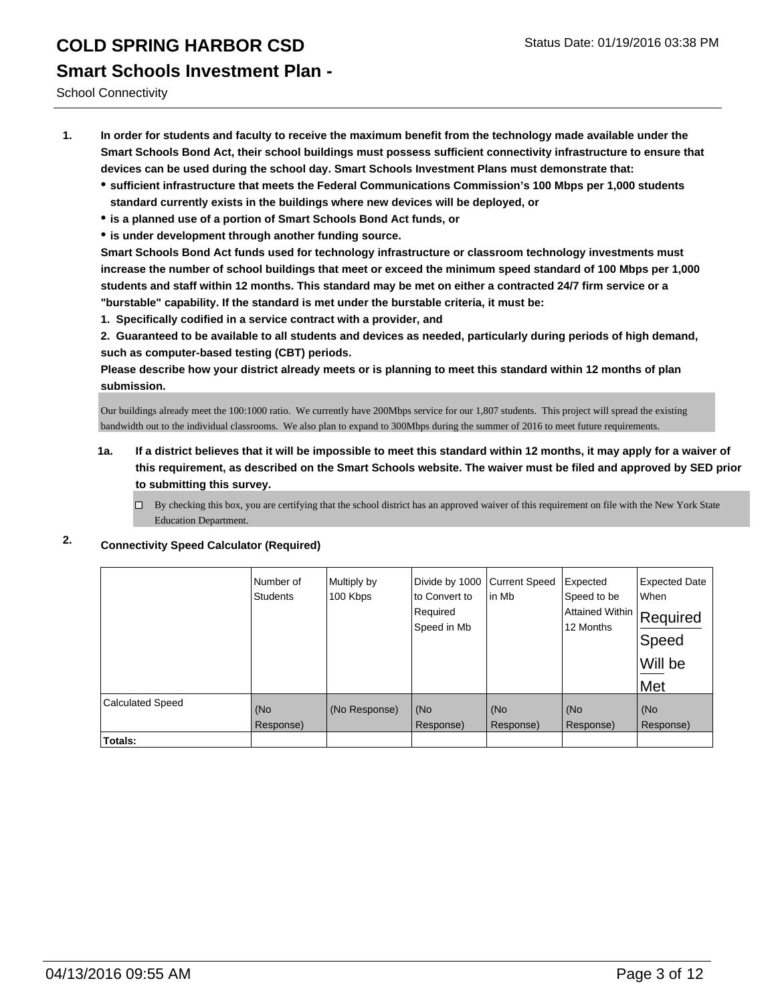School Connectivity

- **1. In order for students and faculty to receive the maximum benefit from the technology made available under the Smart Schools Bond Act, their school buildings must possess sufficient connectivity infrastructure to ensure that devices can be used during the school day. Smart Schools Investment Plans must demonstrate that:**
	- **sufficient infrastructure that meets the Federal Communications Commission's 100 Mbps per 1,000 students standard currently exists in the buildings where new devices will be deployed, or**
	- **is a planned use of a portion of Smart Schools Bond Act funds, or**
	- **is under development through another funding source.**

**Smart Schools Bond Act funds used for technology infrastructure or classroom technology investments must increase the number of school buildings that meet or exceed the minimum speed standard of 100 Mbps per 1,000 students and staff within 12 months. This standard may be met on either a contracted 24/7 firm service or a "burstable" capability. If the standard is met under the burstable criteria, it must be:**

**1. Specifically codified in a service contract with a provider, and**

**2. Guaranteed to be available to all students and devices as needed, particularly during periods of high demand, such as computer-based testing (CBT) periods.**

**Please describe how your district already meets or is planning to meet this standard within 12 months of plan submission.**

Our buildings already meet the 100:1000 ratio. We currently have 200Mbps service for our 1,807 students. This project will spread the existing bandwidth out to the individual classrooms. We also plan to expand to 300Mbps during the summer of 2016 to meet future requirements.

- **1a. If a district believes that it will be impossible to meet this standard within 12 months, it may apply for a waiver of this requirement, as described on the Smart Schools website. The waiver must be filed and approved by SED prior to submitting this survey.**
	- By checking this box, you are certifying that the school district has an approved waiver of this requirement on file with the New York State Education Department.
- **2. Connectivity Speed Calculator (Required)**

|                         | Number of<br><b>Students</b> | Multiply by<br>100 Kbps | Divide by 1000<br>to Convert to<br>Required<br>Speed in Mb | <b>Current Speed</b><br>lin Mb | Expected<br>Speed to be<br>Attained Within<br>12 Months | <b>Expected Date</b><br>When<br>Required<br>Speed<br>Will be<br>∣Met |
|-------------------------|------------------------------|-------------------------|------------------------------------------------------------|--------------------------------|---------------------------------------------------------|----------------------------------------------------------------------|
| <b>Calculated Speed</b> | (No<br>Response)             | (No Response)           | (No<br>Response)                                           | (No<br>Response)               | (No<br>Response)                                        | (No<br>Response)                                                     |
| Totals:                 |                              |                         |                                                            |                                |                                                         |                                                                      |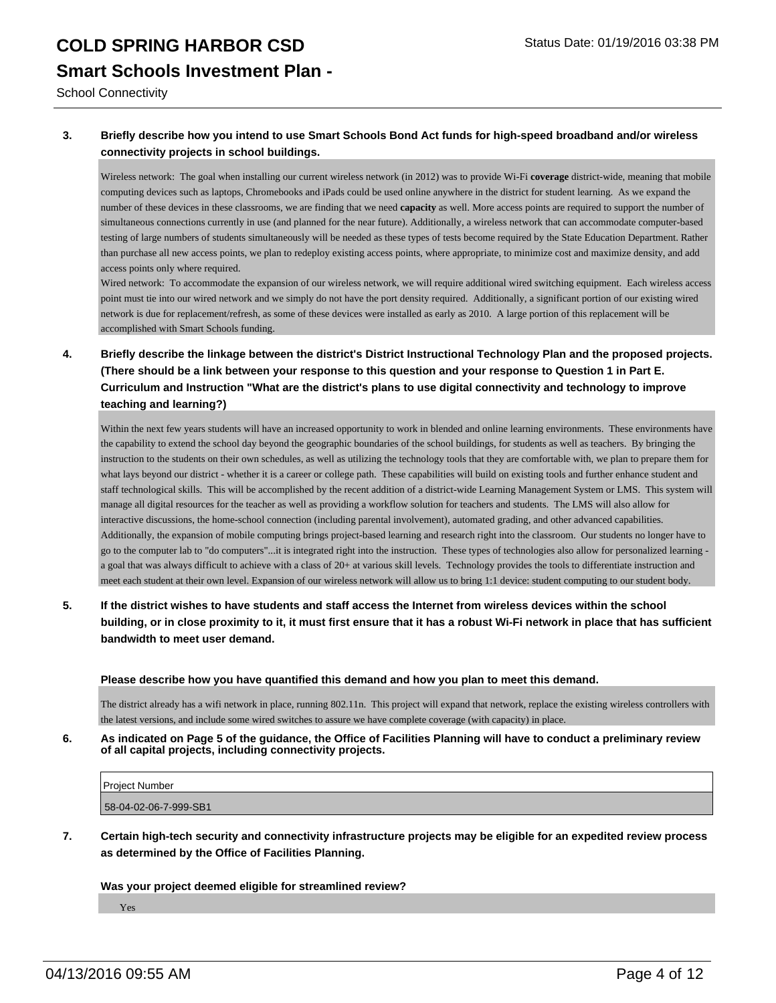School Connectivity

#### **3. Briefly describe how you intend to use Smart Schools Bond Act funds for high-speed broadband and/or wireless connectivity projects in school buildings.**

Wireless network: The goal when installing our current wireless network (in 2012) was to provide Wi-Fi **coverage** district-wide, meaning that mobile computing devices such as laptops, Chromebooks and iPads could be used online anywhere in the district for student learning. As we expand the number of these devices in these classrooms, we are finding that we need **capacity** as well. More access points are required to support the number of simultaneous connections currently in use (and planned for the near future). Additionally, a wireless network that can accommodate computer-based testing of large numbers of students simultaneously will be needed as these types of tests become required by the State Education Department. Rather than purchase all new access points, we plan to redeploy existing access points, where appropriate, to minimize cost and maximize density, and add access points only where required.

Wired network: To accommodate the expansion of our wireless network, we will require additional wired switching equipment. Each wireless access point must tie into our wired network and we simply do not have the port density required. Additionally, a significant portion of our existing wired network is due for replacement/refresh, as some of these devices were installed as early as 2010. A large portion of this replacement will be accomplished with Smart Schools funding.

#### **4. Briefly describe the linkage between the district's District Instructional Technology Plan and the proposed projects. (There should be a link between your response to this question and your response to Question 1 in Part E. Curriculum and Instruction "What are the district's plans to use digital connectivity and technology to improve teaching and learning?)**

Within the next few years students will have an increased opportunity to work in blended and online learning environments. These environments have the capability to extend the school day beyond the geographic boundaries of the school buildings, for students as well as teachers. By bringing the instruction to the students on their own schedules, as well as utilizing the technology tools that they are comfortable with, we plan to prepare them for what lays beyond our district - whether it is a career or college path. These capabilities will build on existing tools and further enhance student and staff technological skills. This will be accomplished by the recent addition of a district-wide Learning Management System or LMS. This system will manage all digital resources for the teacher as well as providing a workflow solution for teachers and students. The LMS will also allow for interactive discussions, the home-school connection (including parental involvement), automated grading, and other advanced capabilities. Additionally, the expansion of mobile computing brings project-based learning and research right into the classroom. Our students no longer have to go to the computer lab to "do computers"...it is integrated right into the instruction. These types of technologies also allow for personalized learning a goal that was always difficult to achieve with a class of 20+ at various skill levels. Technology provides the tools to differentiate instruction and meet each student at their own level. Expansion of our wireless network will allow us to bring 1:1 device: student computing to our student body.

**5. If the district wishes to have students and staff access the Internet from wireless devices within the school building, or in close proximity to it, it must first ensure that it has a robust Wi-Fi network in place that has sufficient bandwidth to meet user demand.**

#### **Please describe how you have quantified this demand and how you plan to meet this demand.**

The district already has a wifi network in place, running 802.11n. This project will expand that network, replace the existing wireless controllers with the latest versions, and include some wired switches to assure we have complete coverage (with capacity) in place.

#### **6. As indicated on Page 5 of the guidance, the Office of Facilities Planning will have to conduct a preliminary review of all capital projects, including connectivity projects.**

| Project Number        |  |
|-----------------------|--|
| 58-04-02-06-7-999-SB1 |  |

**7. Certain high-tech security and connectivity infrastructure projects may be eligible for an expedited review process as determined by the Office of Facilities Planning.**

#### **Was your project deemed eligible for streamlined review?**

Yes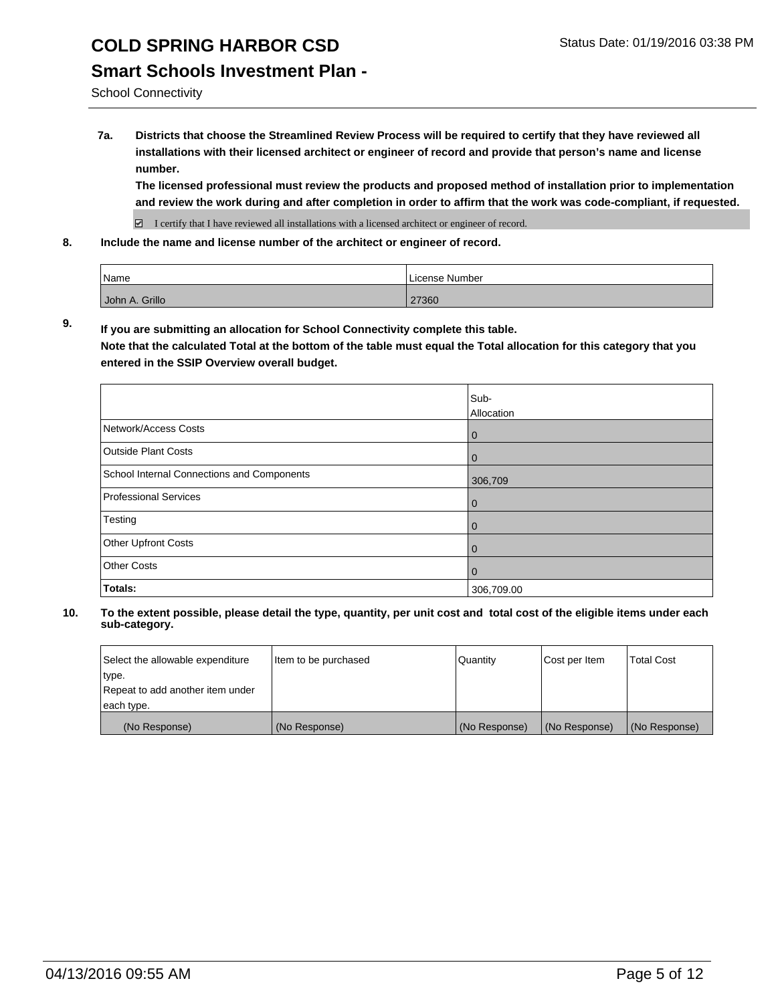### **Smart Schools Investment Plan -**

School Connectivity

**7a. Districts that choose the Streamlined Review Process will be required to certify that they have reviewed all installations with their licensed architect or engineer of record and provide that person's name and license number.**

**The licensed professional must review the products and proposed method of installation prior to implementation and review the work during and after completion in order to affirm that the work was code-compliant, if requested.**

■ I certify that I have reviewed all installations with a licensed architect or engineer of record.

**8. Include the name and license number of the architect or engineer of record.**

| <i>N</i> ame   | License Number |
|----------------|----------------|
| John A. Grillo | 27360          |

**9. If you are submitting an allocation for School Connectivity complete this table. Note that the calculated Total at the bottom of the table must equal the Total allocation for this category that you entered in the SSIP Overview overall budget.** 

|                                            | Sub-<br>Allocation |
|--------------------------------------------|--------------------|
| Network/Access Costs                       | $\bf{0}$           |
| <b>Outside Plant Costs</b>                 | 0                  |
| School Internal Connections and Components | 306,709            |
| Professional Services                      | 0                  |
| Testing                                    | 0                  |
| Other Upfront Costs                        | 0                  |
| <b>Other Costs</b>                         | 0                  |
| Totals:                                    | 306,709.00         |

| Select the allowable expenditure | Item to be purchased | <b>Quantity</b> | Cost per Item | <b>Total Cost</b> |
|----------------------------------|----------------------|-----------------|---------------|-------------------|
| type.                            |                      |                 |               |                   |
| Repeat to add another item under |                      |                 |               |                   |
| each type.                       |                      |                 |               |                   |
| (No Response)                    | (No Response)        | (No Response)   | (No Response) | (No Response)     |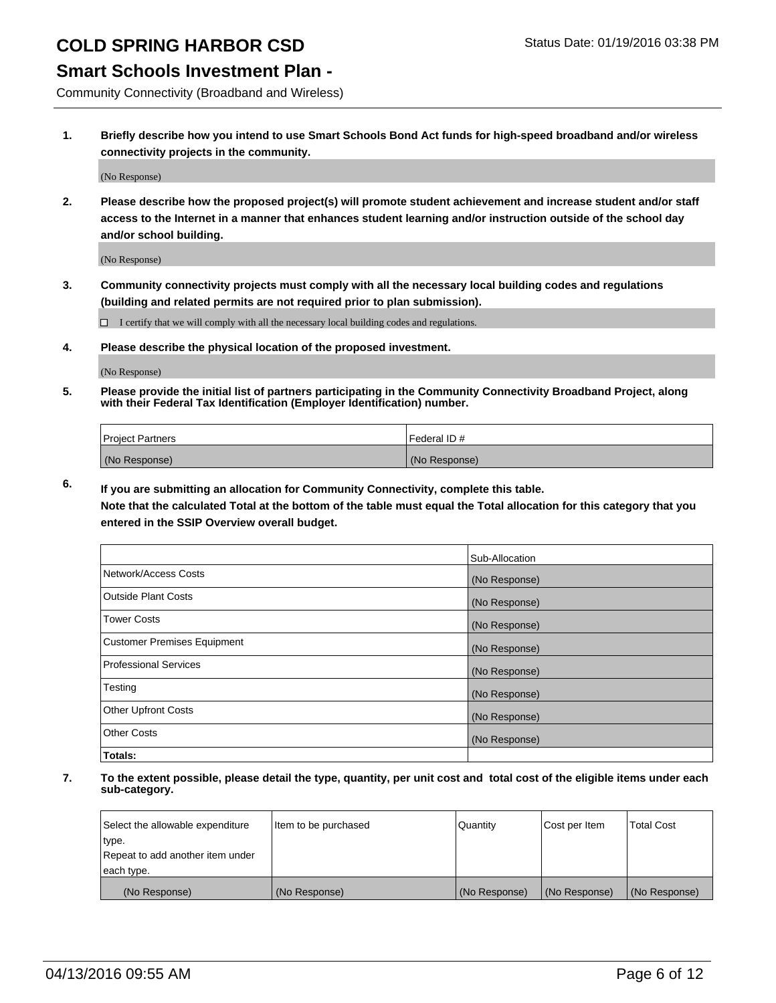#### **Smart Schools Investment Plan -**

Community Connectivity (Broadband and Wireless)

**1. Briefly describe how you intend to use Smart Schools Bond Act funds for high-speed broadband and/or wireless connectivity projects in the community.**

(No Response)

**2. Please describe how the proposed project(s) will promote student achievement and increase student and/or staff access to the Internet in a manner that enhances student learning and/or instruction outside of the school day and/or school building.**

(No Response)

**3. Community connectivity projects must comply with all the necessary local building codes and regulations (building and related permits are not required prior to plan submission).**

 $\Box$  I certify that we will comply with all the necessary local building codes and regulations.

**4. Please describe the physical location of the proposed investment.**

(No Response)

**5. Please provide the initial list of partners participating in the Community Connectivity Broadband Project, along with their Federal Tax Identification (Employer Identification) number.**

| <b>Project Partners</b> | I Federal ID # |
|-------------------------|----------------|
| (No Response)           | (No Response)  |

**6. If you are submitting an allocation for Community Connectivity, complete this table.**

**Note that the calculated Total at the bottom of the table must equal the Total allocation for this category that you entered in the SSIP Overview overall budget.**

|                                    | Sub-Allocation |
|------------------------------------|----------------|
| Network/Access Costs               | (No Response)  |
| Outside Plant Costs                | (No Response)  |
| Tower Costs                        | (No Response)  |
| <b>Customer Premises Equipment</b> | (No Response)  |
| Professional Services              | (No Response)  |
| Testing                            | (No Response)  |
| <b>Other Upfront Costs</b>         | (No Response)  |
| Other Costs                        | (No Response)  |
| Totals:                            |                |

| Select the allowable expenditure | Item to be purchased | Quantity      | Cost per Item | <b>Total Cost</b> |
|----------------------------------|----------------------|---------------|---------------|-------------------|
| type.                            |                      |               |               |                   |
| Repeat to add another item under |                      |               |               |                   |
| each type.                       |                      |               |               |                   |
| (No Response)                    | (No Response)        | (No Response) | (No Response) | (No Response)     |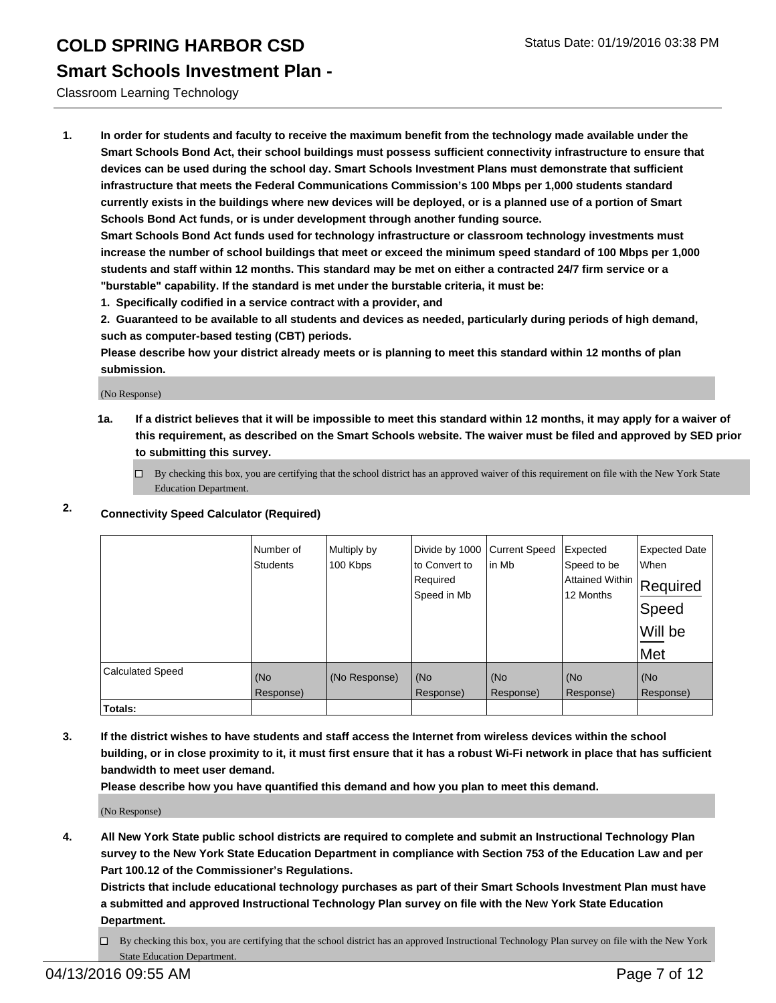### **Smart Schools Investment Plan -**

Classroom Learning Technology

**1. In order for students and faculty to receive the maximum benefit from the technology made available under the Smart Schools Bond Act, their school buildings must possess sufficient connectivity infrastructure to ensure that devices can be used during the school day. Smart Schools Investment Plans must demonstrate that sufficient infrastructure that meets the Federal Communications Commission's 100 Mbps per 1,000 students standard currently exists in the buildings where new devices will be deployed, or is a planned use of a portion of Smart Schools Bond Act funds, or is under development through another funding source.**

**Smart Schools Bond Act funds used for technology infrastructure or classroom technology investments must increase the number of school buildings that meet or exceed the minimum speed standard of 100 Mbps per 1,000 students and staff within 12 months. This standard may be met on either a contracted 24/7 firm service or a "burstable" capability. If the standard is met under the burstable criteria, it must be:**

**1. Specifically codified in a service contract with a provider, and**

**2. Guaranteed to be available to all students and devices as needed, particularly during periods of high demand, such as computer-based testing (CBT) periods.**

**Please describe how your district already meets or is planning to meet this standard within 12 months of plan submission.**

(No Response)

**1a. If a district believes that it will be impossible to meet this standard within 12 months, it may apply for a waiver of this requirement, as described on the Smart Schools website. The waiver must be filed and approved by SED prior to submitting this survey.**

 $\Box$  By checking this box, you are certifying that the school district has an approved waiver of this requirement on file with the New York State Education Department.

#### **2. Connectivity Speed Calculator (Required)**

|                         | Number of<br><b>Students</b> | Multiply by<br>100 Kbps | Divide by 1000<br>to Convert to<br>Required<br>Speed in Mb | <b>Current Speed</b><br>lin Mb | Expected<br>Speed to be<br> Attained Within   Required<br>12 Months | <b>Expected Date</b><br>When<br>Speed<br>Will be<br>Met |
|-------------------------|------------------------------|-------------------------|------------------------------------------------------------|--------------------------------|---------------------------------------------------------------------|---------------------------------------------------------|
| <b>Calculated Speed</b> | (No<br>Response)             | (No Response)           | (No<br>Response)                                           | (No<br>Response)               | (No<br>Response)                                                    | (No<br>Response)                                        |
| <b>Totals:</b>          |                              |                         |                                                            |                                |                                                                     |                                                         |

**3. If the district wishes to have students and staff access the Internet from wireless devices within the school building, or in close proximity to it, it must first ensure that it has a robust Wi-Fi network in place that has sufficient bandwidth to meet user demand.**

**Please describe how you have quantified this demand and how you plan to meet this demand.**

(No Response)

**4. All New York State public school districts are required to complete and submit an Instructional Technology Plan survey to the New York State Education Department in compliance with Section 753 of the Education Law and per Part 100.12 of the Commissioner's Regulations.**

**Districts that include educational technology purchases as part of their Smart Schools Investment Plan must have a submitted and approved Instructional Technology Plan survey on file with the New York State Education Department.**

 $\Box$  By checking this box, you are certifying that the school district has an approved Instructional Technology Plan survey on file with the New York State Education Department.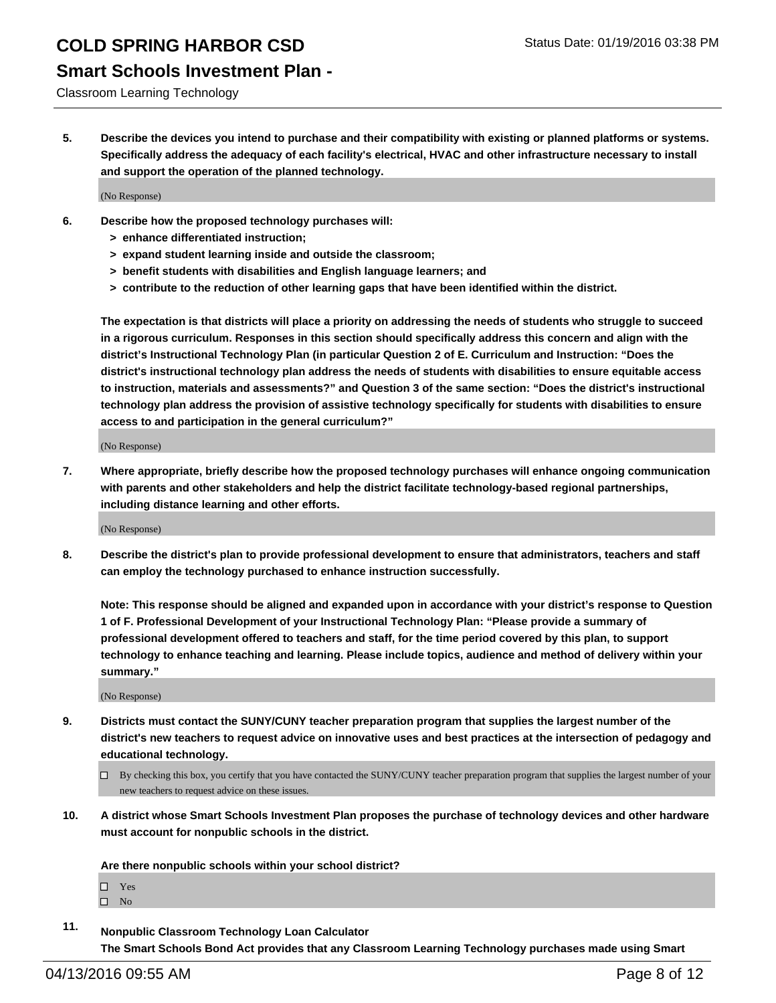### **Smart Schools Investment Plan -**

#### Classroom Learning Technology

**5. Describe the devices you intend to purchase and their compatibility with existing or planned platforms or systems. Specifically address the adequacy of each facility's electrical, HVAC and other infrastructure necessary to install and support the operation of the planned technology.**

(No Response)

- **6. Describe how the proposed technology purchases will:**
	- **> enhance differentiated instruction;**
	- **> expand student learning inside and outside the classroom;**
	- **> benefit students with disabilities and English language learners; and**
	- **> contribute to the reduction of other learning gaps that have been identified within the district.**

**The expectation is that districts will place a priority on addressing the needs of students who struggle to succeed in a rigorous curriculum. Responses in this section should specifically address this concern and align with the district's Instructional Technology Plan (in particular Question 2 of E. Curriculum and Instruction: "Does the district's instructional technology plan address the needs of students with disabilities to ensure equitable access to instruction, materials and assessments?" and Question 3 of the same section: "Does the district's instructional technology plan address the provision of assistive technology specifically for students with disabilities to ensure access to and participation in the general curriculum?"**

(No Response)

**7. Where appropriate, briefly describe how the proposed technology purchases will enhance ongoing communication with parents and other stakeholders and help the district facilitate technology-based regional partnerships, including distance learning and other efforts.**

(No Response)

**8. Describe the district's plan to provide professional development to ensure that administrators, teachers and staff can employ the technology purchased to enhance instruction successfully.**

**Note: This response should be aligned and expanded upon in accordance with your district's response to Question 1 of F. Professional Development of your Instructional Technology Plan: "Please provide a summary of professional development offered to teachers and staff, for the time period covered by this plan, to support technology to enhance teaching and learning. Please include topics, audience and method of delivery within your summary."**

(No Response)

- **9. Districts must contact the SUNY/CUNY teacher preparation program that supplies the largest number of the district's new teachers to request advice on innovative uses and best practices at the intersection of pedagogy and educational technology.**
	- $\Box$  By checking this box, you certify that you have contacted the SUNY/CUNY teacher preparation program that supplies the largest number of your new teachers to request advice on these issues.
- **10. A district whose Smart Schools Investment Plan proposes the purchase of technology devices and other hardware must account for nonpublic schools in the district.**

**Are there nonpublic schools within your school district?**

□ Yes  $\square$  No

**11. Nonpublic Classroom Technology Loan Calculator The Smart Schools Bond Act provides that any Classroom Learning Technology purchases made using Smart**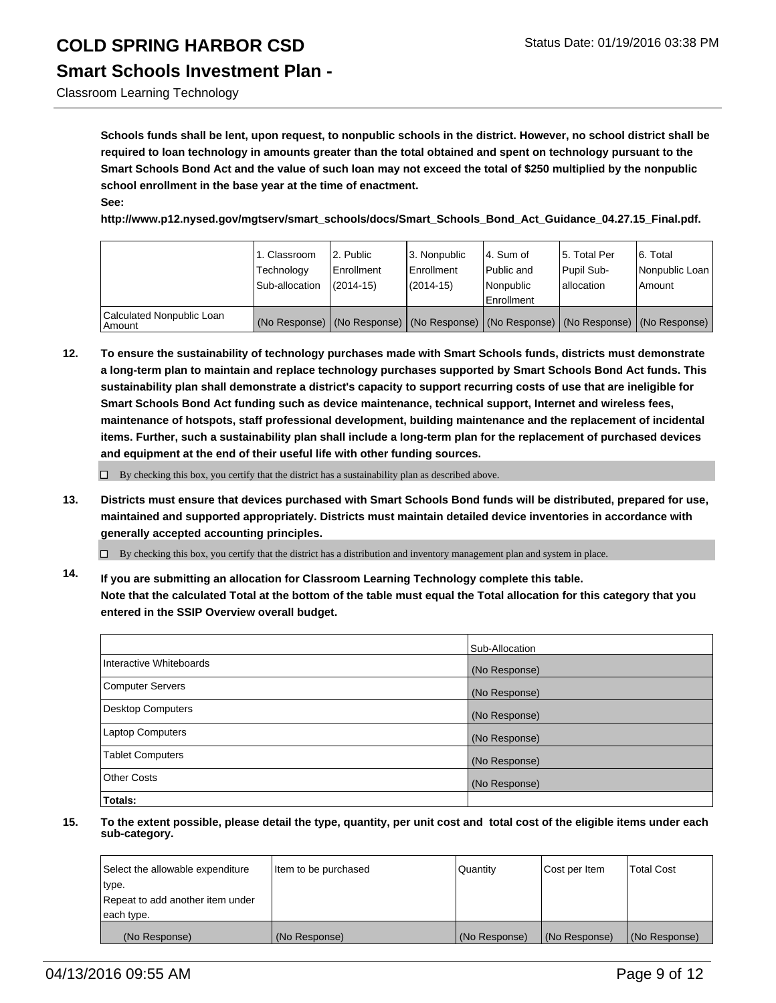Classroom Learning Technology

**Schools funds shall be lent, upon request, to nonpublic schools in the district. However, no school district shall be required to loan technology in amounts greater than the total obtained and spent on technology pursuant to the Smart Schools Bond Act and the value of such loan may not exceed the total of \$250 multiplied by the nonpublic school enrollment in the base year at the time of enactment. See:**

**http://www.p12.nysed.gov/mgtserv/smart\_schools/docs/Smart\_Schools\_Bond\_Act\_Guidance\_04.27.15\_Final.pdf.**

|                                       | 1. Classroom<br>Technology<br>Sub-allocation | 2. Public<br>Enrollment<br>$(2014 - 15)$ | 3. Nonpublic<br><b>Enrollment</b><br>(2014-15) | 4. Sum of<br>Public and<br>Nonpublic<br>Enrollment                                            | 5. Total Per<br>Pupil Sub-<br>lallocation | 6. Total<br>Nonpublic Loan<br>Amount |
|---------------------------------------|----------------------------------------------|------------------------------------------|------------------------------------------------|-----------------------------------------------------------------------------------------------|-------------------------------------------|--------------------------------------|
| Calculated Nonpublic Loan<br>  Amount |                                              |                                          |                                                | (No Response)   (No Response)   (No Response)   (No Response)   (No Response)   (No Response) |                                           |                                      |

**12. To ensure the sustainability of technology purchases made with Smart Schools funds, districts must demonstrate a long-term plan to maintain and replace technology purchases supported by Smart Schools Bond Act funds. This sustainability plan shall demonstrate a district's capacity to support recurring costs of use that are ineligible for Smart Schools Bond Act funding such as device maintenance, technical support, Internet and wireless fees, maintenance of hotspots, staff professional development, building maintenance and the replacement of incidental items. Further, such a sustainability plan shall include a long-term plan for the replacement of purchased devices and equipment at the end of their useful life with other funding sources.**

 $\Box$  By checking this box, you certify that the district has a sustainability plan as described above.

**13. Districts must ensure that devices purchased with Smart Schools Bond funds will be distributed, prepared for use, maintained and supported appropriately. Districts must maintain detailed device inventories in accordance with generally accepted accounting principles.**

 $\Box$  By checking this box, you certify that the district has a distribution and inventory management plan and system in place.

**14. If you are submitting an allocation for Classroom Learning Technology complete this table. Note that the calculated Total at the bottom of the table must equal the Total allocation for this category that you entered in the SSIP Overview overall budget.**

|                          | Sub-Allocation |
|--------------------------|----------------|
| Interactive Whiteboards  | (No Response)  |
| <b>Computer Servers</b>  | (No Response)  |
| <b>Desktop Computers</b> | (No Response)  |
| Laptop Computers         | (No Response)  |
| <b>Tablet Computers</b>  | (No Response)  |
| Other Costs              | (No Response)  |
| Totals:                  |                |

| Select the allowable expenditure | Item to be purchased | Quantity      | Cost per Item | <b>Total Cost</b> |
|----------------------------------|----------------------|---------------|---------------|-------------------|
| type.                            |                      |               |               |                   |
| Repeat to add another item under |                      |               |               |                   |
| each type.                       |                      |               |               |                   |
| (No Response)                    | (No Response)        | (No Response) | (No Response) | (No Response)     |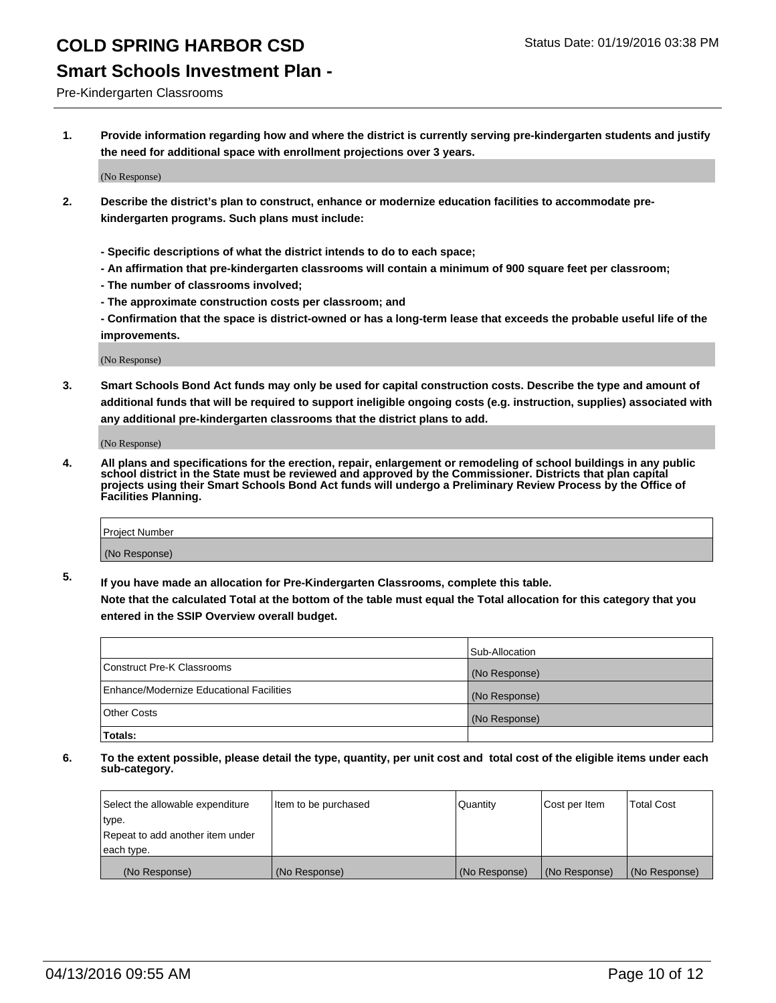### **Smart Schools Investment Plan -**

Pre-Kindergarten Classrooms

**1. Provide information regarding how and where the district is currently serving pre-kindergarten students and justify the need for additional space with enrollment projections over 3 years.**

(No Response)

- **2. Describe the district's plan to construct, enhance or modernize education facilities to accommodate prekindergarten programs. Such plans must include:**
	- **Specific descriptions of what the district intends to do to each space;**
	- **An affirmation that pre-kindergarten classrooms will contain a minimum of 900 square feet per classroom;**
	- **The number of classrooms involved;**
	- **The approximate construction costs per classroom; and**
	- **Confirmation that the space is district-owned or has a long-term lease that exceeds the probable useful life of the improvements.**

(No Response)

**3. Smart Schools Bond Act funds may only be used for capital construction costs. Describe the type and amount of additional funds that will be required to support ineligible ongoing costs (e.g. instruction, supplies) associated with any additional pre-kindergarten classrooms that the district plans to add.**

(No Response)

**4. All plans and specifications for the erection, repair, enlargement or remodeling of school buildings in any public school district in the State must be reviewed and approved by the Commissioner. Districts that plan capital projects using their Smart Schools Bond Act funds will undergo a Preliminary Review Process by the Office of Facilities Planning.**

| Project Number |  |
|----------------|--|
| (No Response)  |  |

**5. If you have made an allocation for Pre-Kindergarten Classrooms, complete this table. Note that the calculated Total at the bottom of the table must equal the Total allocation for this category that you**

**entered in the SSIP Overview overall budget.**

|                                          | Sub-Allocation |
|------------------------------------------|----------------|
| Construct Pre-K Classrooms               | (No Response)  |
| Enhance/Modernize Educational Facilities | (No Response)  |
| Other Costs                              | (No Response)  |
| Totals:                                  |                |

| Select the allowable expenditure | Item to be purchased | Quantity      | Cost per Item | <b>Total Cost</b> |
|----------------------------------|----------------------|---------------|---------------|-------------------|
| type.                            |                      |               |               |                   |
| Repeat to add another item under |                      |               |               |                   |
| each type.                       |                      |               |               |                   |
| (No Response)                    | (No Response)        | (No Response) | (No Response) | (No Response)     |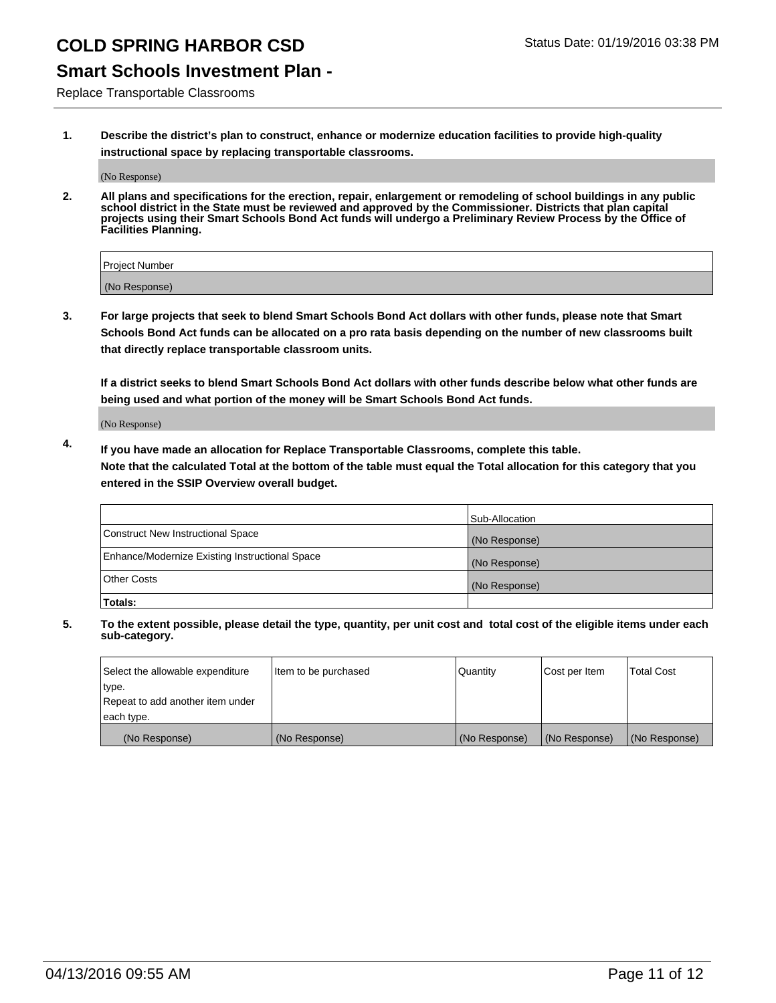### **Smart Schools Investment Plan -**

Replace Transportable Classrooms

**1. Describe the district's plan to construct, enhance or modernize education facilities to provide high-quality instructional space by replacing transportable classrooms.**

(No Response)

**2. All plans and specifications for the erection, repair, enlargement or remodeling of school buildings in any public school district in the State must be reviewed and approved by the Commissioner. Districts that plan capital projects using their Smart Schools Bond Act funds will undergo a Preliminary Review Process by the Office of Facilities Planning.**

| Project Number |  |
|----------------|--|
| (No Response)  |  |

**3. For large projects that seek to blend Smart Schools Bond Act dollars with other funds, please note that Smart Schools Bond Act funds can be allocated on a pro rata basis depending on the number of new classrooms built that directly replace transportable classroom units.**

**If a district seeks to blend Smart Schools Bond Act dollars with other funds describe below what other funds are being used and what portion of the money will be Smart Schools Bond Act funds.**

(No Response)

**4. If you have made an allocation for Replace Transportable Classrooms, complete this table. Note that the calculated Total at the bottom of the table must equal the Total allocation for this category that you entered in the SSIP Overview overall budget.**

|                                                | Sub-Allocation |
|------------------------------------------------|----------------|
| Construct New Instructional Space              | (No Response)  |
| Enhance/Modernize Existing Instructional Space | (No Response)  |
| <b>Other Costs</b>                             | (No Response)  |
| Totals:                                        |                |

| Select the allowable expenditure | Item to be purchased | Quantity      | Cost per Item | <b>Total Cost</b> |
|----------------------------------|----------------------|---------------|---------------|-------------------|
| type.                            |                      |               |               |                   |
| Repeat to add another item under |                      |               |               |                   |
| each type.                       |                      |               |               |                   |
| (No Response)                    | (No Response)        | (No Response) | (No Response) | (No Response)     |